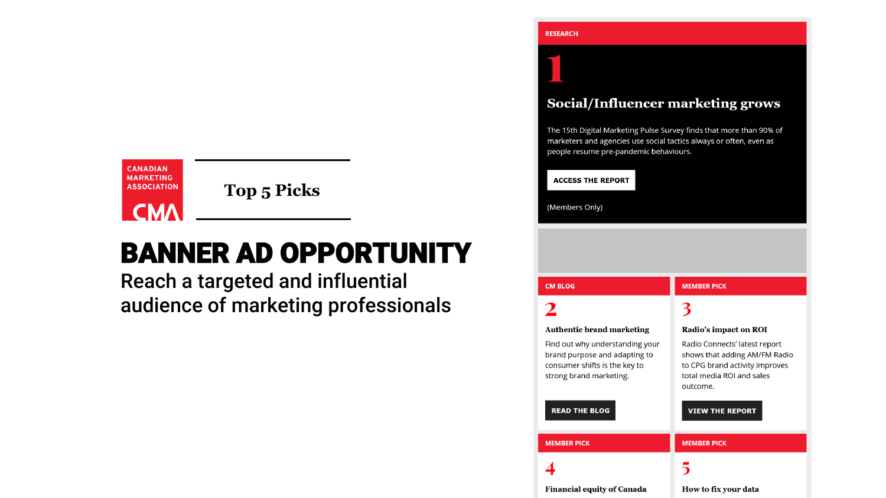

**Top 5 Picks** 

# **BANNER AD OPPORTUNITY**

Reach a targeted and influential audience of marketing professionals

## **Social/Influencer marketing grows**

The 15th Digital Marketing Pulse Survey finds that more than 90% of marketers and agencies use social tactics always or often, even as people resume pre-pandemic behaviours.

#### **ACCESS THE REPORT**

(Members Only)

#### **CM BLOG**

## $\overline{\mathbf{2}}$

### **Authentic brand marketing**

Find out why understanding your brand purpose and adapting to consumer shifts is the key to strong brand marketing.

### **READ THE BLOG**

## **MEMBER PICK**

## 3

### Radio's impact on ROI

Radio Connects' latest report shows that adding AM/FM Radio to CPG brand activity improves total media ROI and sales outcome.

#### **VIEW THE REPORT**

## **MEMBER PICK**

4

#### **MEMBER PICK**

## $\overline{\mathbf{5}}$

### **Financial equity of Canada**

## How to fix your data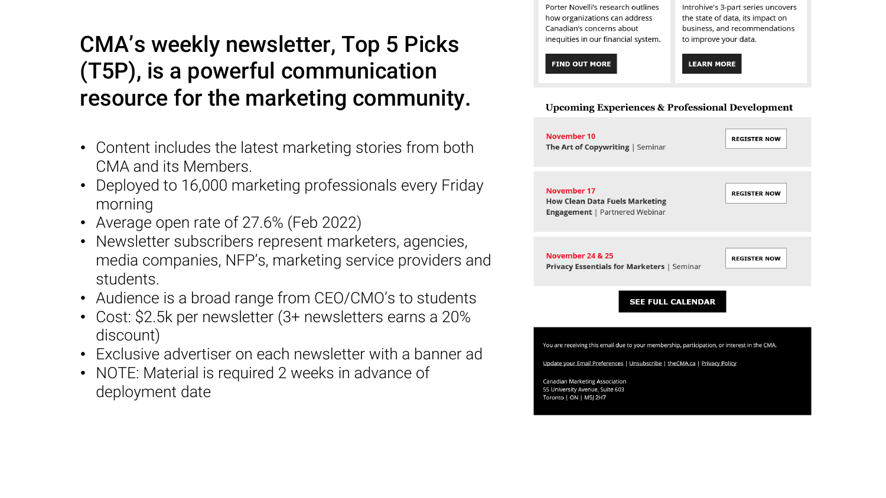## CMA's weekly newsletter, Top 5 Picks (T5P), is a powerful communication resource for the marketing community.

- Content includes the latest marketing stories from both CMA and its Members.
- Deployed to 16,000 marketing professionals every Friday morning
- Average open rate of 27.6% (Feb 2022)
- Newsletter subscribers represent marketers, agencies, media companies, NFP's, marketing service providers and students.
- Audience is a broad range from CEO/CMO's to students
- Cost: \$2.5k per newsletter (3+ newsletters earns a 20% discount)
- Exclusive advertiser on each newsletter with a banner ad
- NOTE: Material is required 2 weeks in advance of deployment date

Porter Novelli's research outlines how organizations can address Canadian's concerns about inequities in our financial system. Introhive's 3-part series uncovers the state of data, its impact on business, and recommendations to improve your data.

### **FIND OUT MORE**

**LEARN MORE** 

## **Upcoming Experiences & Professional Development**

| November 10<br>The Art of Copywriting   Seminar                                                                                                                         | <b>REGISTER NOW</b> |
|-------------------------------------------------------------------------------------------------------------------------------------------------------------------------|---------------------|
| November 17<br><b>How Clean Data Fuels Marketing</b><br><b>Engagement</b>   Partnered Webinar                                                                           | <b>REGISTER NOW</b> |
| <b>November 24 &amp; 25</b><br><b>Privacy Essentials for Marketers   Seminar</b>                                                                                        | <b>REGISTER NOW</b> |
| <b>SEE FULL CALENDAR</b>                                                                                                                                                |                     |
| You are receiving this email due to your membership, participation, or interest in the CMA.<br>Update your Email Preferences   Unsubscribe   theCMA.ca   Privacy Policy |                     |
| <b>Canadian Marketing Association</b><br>55 University Avenue, Suite 603<br>Toronto   ON   M5J 2H7                                                                      |                     |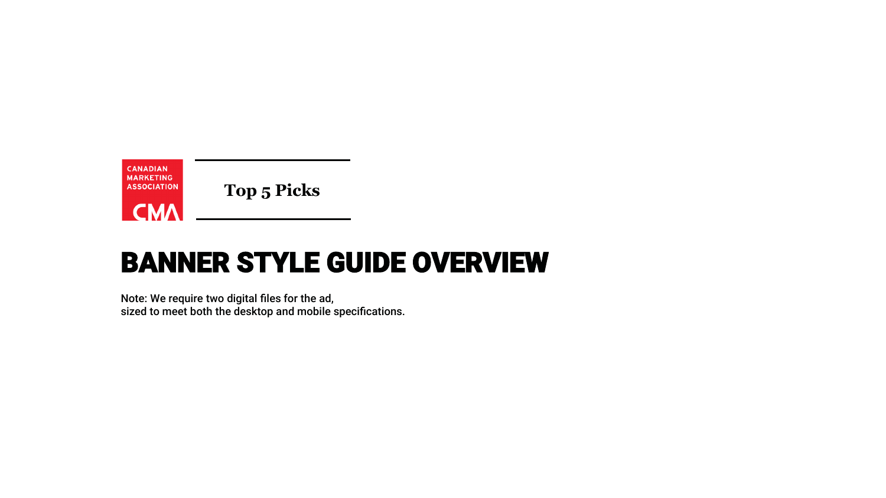

**Top 5 Picks**

# BANNER STYLE GUIDE OVERVIEW

Note: We require two digital files for the ad, sized to meet both the desktop and mobile specifications.

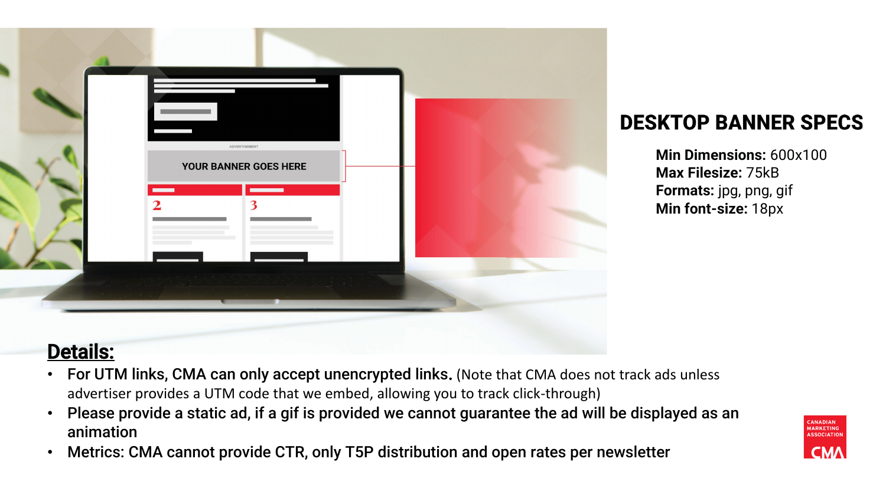**Min Dimensions:** 600x100 **Max Filesize:** 75kB **Formats:** jpg, png, gif **Min font-size:** 18px





## Details:

- For UTM links, CMA can only accept unencrypted links. (Note that CMA does not track ads unless advertiser provides a UTM code that we embed, allowing you to track click-through)
- Please provide a static ad, if a gif is provided we cannot guarantee the ad will be displayed as an animation
- Metrics: CMA cannot provide CTR, only T5P distribution and open rates per newsletter

## **DESKTOP BANNER SPECS**